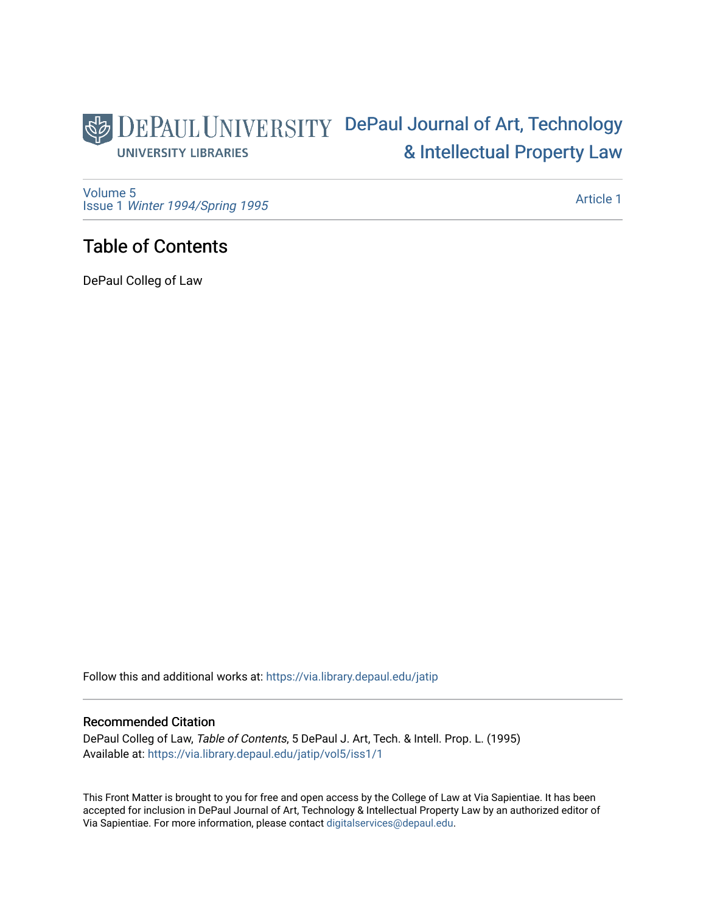### DEPAUL UNIVERSITY DePaul Journal of Art, Technology [& Intellectual Property Law](https://via.library.depaul.edu/jatip)  **UNIVERSITY LIBRARIES**

[Volume 5](https://via.library.depaul.edu/jatip/vol5) Issue 1 [Winter 1994/Spring 1995](https://via.library.depaul.edu/jatip/vol5/iss1)

[Article 1](https://via.library.depaul.edu/jatip/vol5/iss1/1) 

## Table of Contents

DePaul Colleg of Law

Follow this and additional works at: [https://via.library.depaul.edu/jatip](https://via.library.depaul.edu/jatip?utm_source=via.library.depaul.edu%2Fjatip%2Fvol5%2Fiss1%2F1&utm_medium=PDF&utm_campaign=PDFCoverPages)

#### Recommended Citation

DePaul Colleg of Law, Table of Contents, 5 DePaul J. Art, Tech. & Intell. Prop. L. (1995) Available at: [https://via.library.depaul.edu/jatip/vol5/iss1/1](https://via.library.depaul.edu/jatip/vol5/iss1/1?utm_source=via.library.depaul.edu%2Fjatip%2Fvol5%2Fiss1%2F1&utm_medium=PDF&utm_campaign=PDFCoverPages)

This Front Matter is brought to you for free and open access by the College of Law at Via Sapientiae. It has been accepted for inclusion in DePaul Journal of Art, Technology & Intellectual Property Law by an authorized editor of Via Sapientiae. For more information, please contact [digitalservices@depaul.edu](mailto:digitalservices@depaul.edu).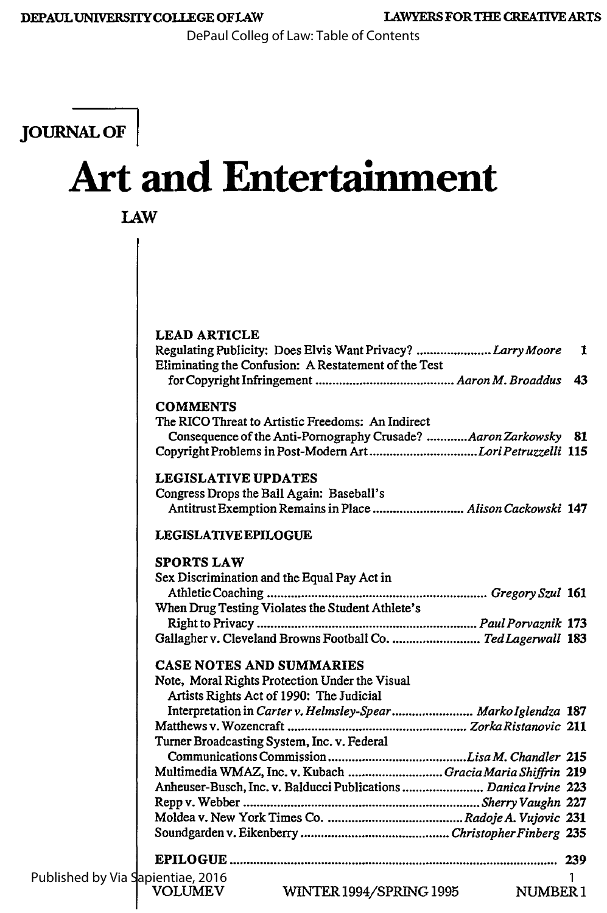DePaul Colleg of Law: Table of Contents

## **JOURNAL OF I**

# **Art and Entertainment**

**LAW**

|                                   | <b>LEAD ARTICLE</b>                                                                                                                                                                                  |              |
|-----------------------------------|------------------------------------------------------------------------------------------------------------------------------------------------------------------------------------------------------|--------------|
|                                   | Regulating Publicity: Does Elvis Want Privacy? Larry Moore<br>Eliminating the Confusion: A Restatement of the Test                                                                                   | $\mathbf{1}$ |
|                                   |                                                                                                                                                                                                      |              |
|                                   | <b>COMMENTS</b><br>The RICO Threat to Artistic Freedoms: An Indirect<br>Consequence of the Anti-Pornography Crusade? Aaron Zarkowsky 81<br>Copyright Problems in Post-Modern ArtLori Petruzzelli 115 |              |
|                                   | <b>LEGISLATIVE UPDATES</b><br>Congress Drops the Ball Again: Baseball's<br>Antitrust Exemption Remains in Place  Alison Cackowski 147                                                                |              |
|                                   | <b>LEGISLATIVE EPILOGUE</b>                                                                                                                                                                          |              |
|                                   | <b>SPORTS LAW</b><br>Sex Discrimination and the Equal Pay Act in                                                                                                                                     |              |
|                                   | When Drug Testing Violates the Student Athlete's                                                                                                                                                     |              |
|                                   | Gallagher v. Cleveland Browns Football Co.  Ted Lagerwall 183                                                                                                                                        |              |
|                                   |                                                                                                                                                                                                      |              |
|                                   | <b>CASE NOTES AND SUMMARIES</b>                                                                                                                                                                      |              |
|                                   | Note, Moral Rights Protection Under the Visual<br>Artists Rights Act of 1990: The Judicial                                                                                                           |              |
|                                   | Interpretation in Carter v. Helmsley-Spear Marko Iglendza 187                                                                                                                                        |              |
|                                   |                                                                                                                                                                                                      |              |
|                                   | Turner Broadcasting System, Inc. v. Federal                                                                                                                                                          |              |
|                                   | Multimedia WMAZ, Inc. v. Kubach Gracia Maria Shiffrin 219                                                                                                                                            |              |
|                                   | Anheuser-Busch, Inc. v. Balducci Publications  Danica Irvine 223                                                                                                                                     |              |
|                                   |                                                                                                                                                                                                      |              |
|                                   |                                                                                                                                                                                                      |              |
|                                   | 239                                                                                                                                                                                                  |              |
| Published by Via Sapientiae, 2016 |                                                                                                                                                                                                      |              |
|                                   | <b>VOLUMEV</b><br>WINTER 1994/SPRING 1995 NUMBER 1                                                                                                                                                   |              |